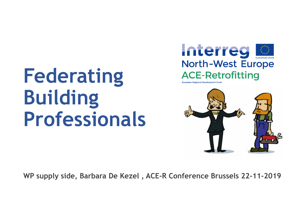# **Federating Building Professionals**





**WP supply side, Barbara De Kezel , ACE-R Conference Brussels 22-11-2019**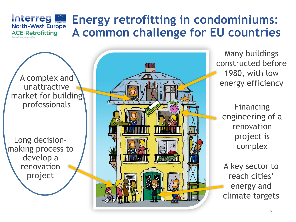#### **Interreg** I **Energy retrofitting in condominiums: North-West Europe A common challenge for EU countries ACE-Retrofitting**

A complex and unattractive market for building professionals

Long decisionmaking process to develop a renovation project



Many buildings constructed before 1980, with low energy efficiency

Financing engineering of a renovation project is complex

A key sector to reach cities' energy and climate targets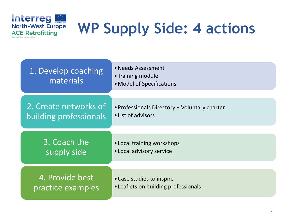

## **WP Supply Side: 4 actions**

| 1. Develop coaching<br>materials | • Needs Assessment<br>• Training module<br>• Model of Specifications |  |
|----------------------------------|----------------------------------------------------------------------|--|
| 2. Create networks of            | • Professionals Directory + Voluntary charter                        |  |
| building professionals           | • List of advisors                                                   |  |
| 3. Coach the                     | • Local training workshops                                           |  |
| supply side                      | • Local advisory service                                             |  |
| 4. Provide best                  | • Case studies to inspire                                            |  |
| practice examples                | • Leaflets on building professionals                                 |  |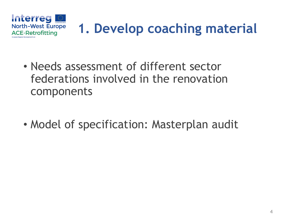

- Needs assessment of different sector federations involved in the renovation components
- Model of specification: Masterplan audit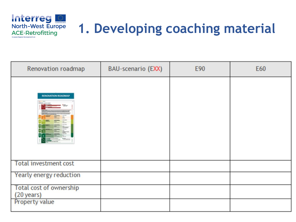

### **1. Developing coaching material**

| Renovation roadmap                           | BAU-scenario (EXX) | E90 | E60 |
|----------------------------------------------|--------------------|-----|-----|
| RENOVATION ROADMAP<br><b>Borner Address</b>  |                    |     |     |
| <b>Total investment cost</b>                 |                    |     |     |
| Yearly energy reduction                      |                    |     |     |
| <b>Total cost of ownership</b><br>(20 years) |                    |     |     |
| Property value                               |                    |     |     |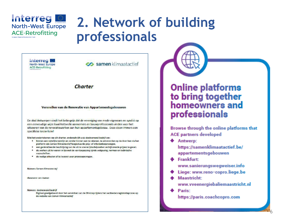

### **Interreg 2. Network of building professionals**

**Interreg** North-West Europe **ACE-Retrofitting** 

samen klimaatactief

### Charter

Versnellen van de Renovatie van Appartementsgebouwen

De stad Antwerpen vindt het belangrijk dat de vereniging van mede-eigenaars en syndici op cen cenvoudige wijze kwaliteitsvolle aannemers en bouworpfessionals vinden voor het uitvoeren van de renovatiewerken aan hun appartementsgebouw. Deze eisen immers een specifieke know-how!

Met het ondertekenen van dit charter, onderschrijft u als deelnemend bedrijf on:

- . binnen een redelijke termijn en zonder kosten aan te rekenen, te antwoorden op de door hen via het platform van Samen Klimaatactief toegestuurde prijs- of informatiesanvragen.
- · een gedetal leerde beschrijving van de uit te voeren (studie)werken en bijhorende prijzen te geven. \* de werken uit te voeren in lijn met de van toepassing zijnde wetgeving, normen en technische voorschriften
- · de nodige attesten af te leveren voor premiesanvragen.

Namens Somen Klimagtactief

Getekend: Jan Jacken

Namens decinemend bedrift

Digitaal goodgekeurd door het aanvinken van de OK-knop tijdens het aanbiedersregistratieproces op de website van Somen Kilmaatectief



Browse through the online platforms that **ACE partners developed** 

**+** Antwerp:

https://samenklimaatactief.be/ appartementsgebouwen

**+** Frankfurt:

www.sanierungswegweiser.info

- Liege: www.reno-copro.liege.be
- **Maastricht:** 
	- www.vveenergiebaliemaastricht.nl

6

**Parist** 

https://paris.coachcopro.com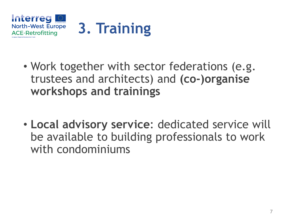

- Work together with sector federations (e.g. trustees and architects) and **(co-)organise workshops and trainings**
- **Local advisory service**: dedicated service will be available to building professionals to work with condominiums